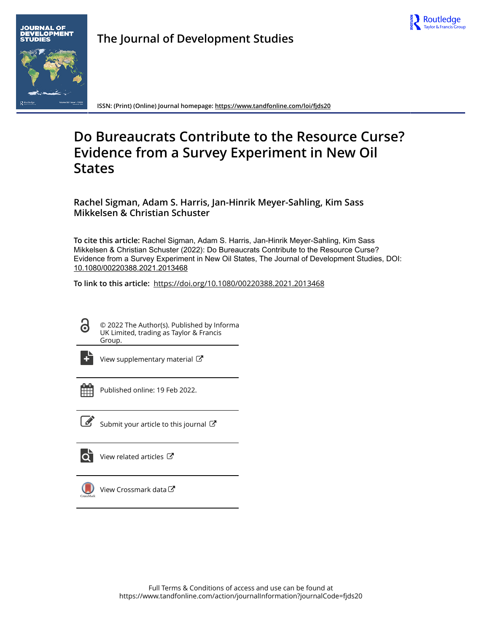



**The Journal of Development Studies**

**ISSN: (Print) (Online) Journal homepage:<https://www.tandfonline.com/loi/fjds20>**

# **Do Bureaucrats Contribute to the Resource Curse? Evidence from a Survey Experiment in New Oil States**

**Rachel Sigman, Adam S. Harris, Jan-Hinrik Meyer-Sahling, Kim Sass Mikkelsen & Christian Schuster**

**To cite this article:** Rachel Sigman, Adam S. Harris, Jan-Hinrik Meyer-Sahling, Kim Sass Mikkelsen & Christian Schuster (2022): Do Bureaucrats Contribute to the Resource Curse? Evidence from a Survey Experiment in New Oil States, The Journal of Development Studies, DOI: [10.1080/00220388.2021.2013468](https://www.tandfonline.com/action/showCitFormats?doi=10.1080/00220388.2021.2013468)

**To link to this article:** <https://doi.org/10.1080/00220388.2021.2013468>

ര

© 2022 The Author(s). Published by Informa UK Limited, trading as Taylor & Francis Group.



[View supplementary material](https://www.tandfonline.com/doi/suppl/10.1080/00220388.2021.2013468)  $\mathbb{Z}$ 



Published online: 19 Feb 2022.



 $\overrightarrow{S}$  [Submit your article to this journal](https://www.tandfonline.com/action/authorSubmission?journalCode=fjds20&show=instructions)  $G$ 



[View related articles](https://www.tandfonline.com/doi/mlt/10.1080/00220388.2021.2013468)  $\mathbb{Z}$ 



[View Crossmark data](http://crossmark.crossref.org/dialog/?doi=10.1080/00220388.2021.2013468&domain=pdf&date_stamp=2022-02-19) $\boldsymbol{C}$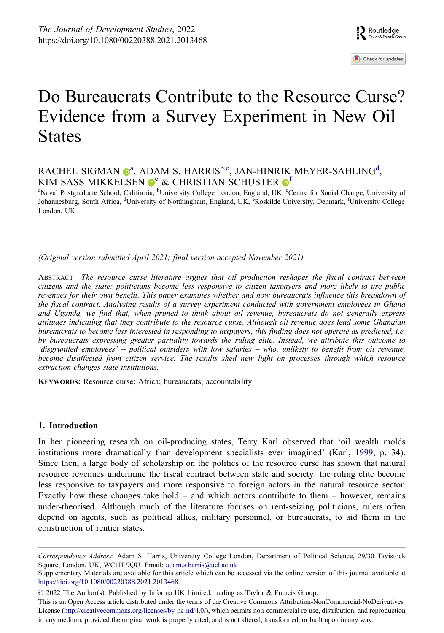# Do Bureaucrats Contribute to the Resource Curse? Evidence from a Survey Experiment in New Oil States

RACHEL SIGMAN  $\mathbf{O}^{a}$  $\mathbf{O}^{a}$  $\mathbf{O}^{a}$ [, ADAM S. HARRIS](#page-1-0)<sup>b,c</sup>, JAN-HINRIK MEYER-SAHLING<sup>[d](#page-1-1)</sup>, KIM SASS MIKKELSE[N](http://orcid.org/0000-0002-5657-245X)  $e^e$  & CHRISTIAN SCHUSTER  $e^f$  $e^f$ 

<span id="page-1-1"></span><span id="page-1-0"></span><sup>a</sup>Naval Postgraduate School, California, <sup>b</sup>University College London, England, UK, °Centre for Social Change, University of Johannesburg, South Africa, <sup>d</sup>University of Notthingham, England, UK, °Roskilde University, Denmark, <sup>f</sup>University College London, UK

*(Original version submitted April 2021; final version accepted November 2021)*

ABSTRACT *The resource curse literature argues that oil production reshapes the fiscal contract between citizens and the state: politicians become less responsive to citizen taxpayers and more likely to use public revenues for their own benefit. This paper examines whether and how bureaucrats influence this breakdown of the fiscal contract. Analysing results of a survey experiment conducted with government employees in Ghana and Uganda, we find that, when primed to think about oil revenue, bureaucrats do not generally express attitudes indicating that they contribute to the resource curse. Although oil revenue does lead some Ghanaian bureaucrats to become less interested in responding to taxpayers, this finding does not operate as predicted, i.e. by bureaucrats expressing greater partiality towards the ruling elite. Instead, we attribute this outcome to 'disgruntled employees' – political outsiders with low salaries – who, unlikely to benefit from oil revenue, become disaffected from citizen service. The results shed new light on processes through which resource extraction changes state institutions.*

**KEYWORDS:** Resource curse; Africa; bureaucrats; accountability

## **1. Introduction**

<span id="page-1-2"></span>In her pioneering research on oil-producing states, Terry Karl observed that 'oil wealth molds institutions more dramatically than development specialists ever imagined' (Karl, [1999,](#page-16-0) p. 34). Since then, a large body of scholarship on the politics of the resource curse has shown that natural resource revenues undermine the fiscal contract between state and society: the ruling elite become less responsive to taxpayers and more responsive to foreign actors in the natural resource sector. Exactly how these changes take hold – and which actors contribute to them – however, remains under-theorised. Although much of the literature focuses on rent-seizing politicians, rulers often depend on agents, such as political allies, military personnel, or bureaucrats, to aid them in the construction of rentier states.

This is an Open Access article distributed under the terms of the Creative Commons Attribution-NonCommercial-NoDerivatives License (http://creativecommons.org/licenses/by-nc-nd/4.0/), which permits non-commercial re-use, distribution, and reproduction in any medium, provided the original work is properly cited, and is not altered, transformed, or built upon in any way.

*Correspondence Address*: Adam S. Harris, University College London, Department of Political Science, 29/30 Tavistock Square, London, UK, WC1H 9QU. Email: adam.s.harris@ucl.ac.uk

Supplementary Materials are available for this article which can be accessed via the online version of this journal available at <https://doi.org/10.1080/00220388.2021.2013468>.

<sup>© 2022</sup> The Author(s). Published by Informa UK Limited, trading as Taylor & Francis Group.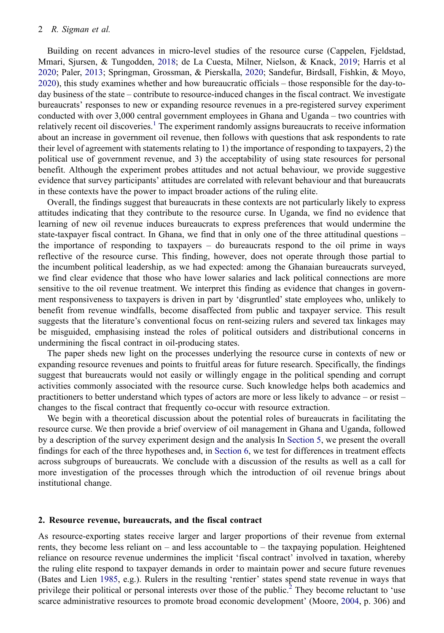#### 2 *R. Sigman et al.*

<span id="page-2-4"></span><span id="page-2-2"></span>Building on recent advances in micro-level studies of the resource curse (Cappelen, Fjeldstad, Mmari, Sjursen, & Tungodden, [2018](#page-16-1); de La Cuesta, Milner, Nielson, & Knack, [2019](#page-16-2); Harris et al [2020;](#page-16-3) Paler, [2013;](#page-17-0) Springman, Grossman, & Pierskalla, [2020;](#page-17-1) Sandefur, Birdsall, Fishkin, & Moyo, [2020\)](#page-17-2), this study examines whether and how bureaucratic officials – those responsible for the day-today business of the state – contribute to resource-induced changes in the fiscal contract. We investigate bureaucrats' responses to new or expanding resource revenues in a pre-registered survey experiment conducted with over 3,000 central government employees in Ghana and Uganda – two countries with relatively recent oil discoveries.<sup>1</sup> The experiment randomly assigns bureaucrats to receive information about an increase in government oil revenue, then follows with questions that ask respondents to rate their level of agreement with statements relating to 1) the importance of responding to taxpayers, 2) the political use of government revenue, and 3) the acceptability of using state resources for personal benefit. Although the experiment probes attitudes and not actual behaviour, we provide suggestive evidence that survey participants' attitudes are correlated with relevant behaviour and that bureaucrats in these contexts have the power to impact broader actions of the ruling elite.

Overall, the findings suggest that bureaucrats in these contexts are not particularly likely to express attitudes indicating that they contribute to the resource curse. In Uganda, we find no evidence that learning of new oil revenue induces bureaucrats to express preferences that would undermine the state-taxpayer fiscal contract. In Ghana, we find that in only one of the three attitudinal questions – the importance of responding to taxpayers – do bureaucrats respond to the oil prime in ways reflective of the resource curse. This finding, however, does not operate through those partial to the incumbent political leadership, as we had expected: among the Ghanaian bureaucrats surveyed, we find clear evidence that those who have lower salaries and lack political connections are more sensitive to the oil revenue treatment. We interpret this finding as evidence that changes in government responsiveness to taxpayers is driven in part by 'disgruntled' state employees who, unlikely to benefit from revenue windfalls, become disaffected from public and taxpayer service. This result suggests that the literature's conventional focus on rent-seizing rulers and severed tax linkages may be misguided, emphasising instead the roles of political outsiders and distributional concerns in undermining the fiscal contract in oil-producing states.

The paper sheds new light on the processes underlying the resource curse in contexts of new or expanding resource revenues and points to fruitful areas for future research. Specifically, the findings suggest that bureaucrats would not easily or willingly engage in the political spending and corrupt activities commonly associated with the resource curse. Such knowledge helps both academics and practitioners to better understand which types of actors are more or less likely to advance – or resist – changes to the fiscal contract that frequently co-occur with resource extraction.

We begin with a theoretical discussion about the potential roles of bureaucrats in facilitating the resource curse. We then provide a brief overview of oil management in Ghana and Uganda, followed by a description of the survey experiment design and the analysis In [Section 5,](#page-9-0) we present the overall findings for each of the three hypotheses and, in [Section 6](#page-11-0), we test for differences in treatment effects across subgroups of bureaucrats. We conclude with a discussion of the results as well as a call for more investigation of the processes through which the introduction of oil revenue brings about institutional change.

### <span id="page-2-0"></span>**2. Resource revenue, bureaucrats, and the fiscal contract**

<span id="page-2-3"></span><span id="page-2-1"></span>As resource-exporting states receive larger and larger proportions of their revenue from external rents, they become less reliant on – and less accountable to – the taxpaying population. Heightened reliance on resource revenue undermines the implicit 'fiscal contract' involved in taxation, whereby the ruling elite respond to taxpayer demands in order to maintain power and secure future revenues (Bates and Lien [1985](#page-16-4), e.g.). Rulers in the resulting 'rentier' states spend state revenue in ways that privilege their political or personal interests over those of the public.<sup>2</sup> They become reluctant to 'use scarce administrative resources to promote broad economic development' (Moore, [2004](#page-17-3), p. 306) and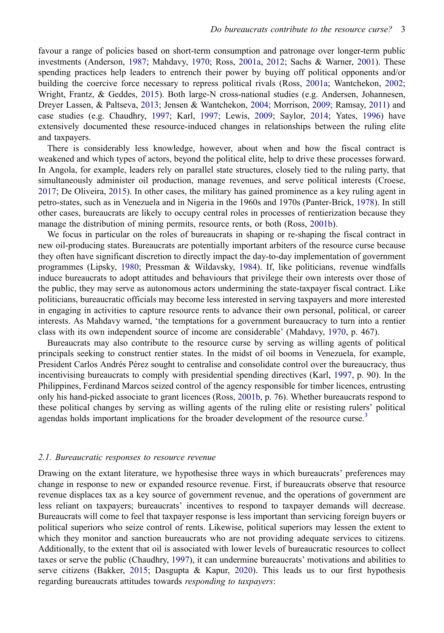<span id="page-3-13"></span><span id="page-3-11"></span><span id="page-3-1"></span>favour a range of policies based on short-term consumption and patronage over longer-term public investments (Anderson, [1987;](#page-16-5) Mahdavy, [1970;](#page-16-6) Ross, [2001a,](#page-17-4) [2012](#page-17-5); Sachs & Warner, [2001](#page-17-6)). These spending practices help leaders to entrench their power by buying off political opponents and/or building the coercive force necessary to repress political rivals (Ross, [2001a](#page-17-4); Wantchekon, [2002;](#page-17-7) Wright, Frantz, & Geddes, [2015\)](#page-17-8). Both large-N cross-national studies (e.g. Andersen, Johannesen, Dreyer Lassen, & Paltseva, [2013;](#page-16-7) Jensen & Wantchekon, [2004](#page-16-8); Morrison, [2009](#page-17-9); Ramsay, [2011\)](#page-17-10) and case studies (e.g. Chaudhry, [1997](#page-16-9); Karl, [1997](#page-16-10); Lewis, [2009](#page-16-11); Saylor, [2014;](#page-17-11) Yates, [1996](#page-17-12)) have extensively documented these resource-induced changes in relationships between the ruling elite and taxpayers.

<span id="page-3-7"></span><span id="page-3-5"></span><span id="page-3-4"></span><span id="page-3-0"></span>There is considerably less knowledge, however, about when and how the fiscal contract is weakened and which types of actors, beyond the political elite, help to drive these processes forward. In Angola, for example, leaders rely on parallel state structures, closely tied to the ruling party, that simultaneously administer oil production, manage revenues, and serve political interests (Croese, [2017;](#page-16-12) De Oliveira, [2015\)](#page-16-13). In other cases, the military has gained prominence as a key ruling agent in petro-states, such as in Venezuela and in Nigeria in the 1960s and 1970s (Panter-Brick, [1978](#page-17-13)). In still other cases, bureaucrats are likely to occupy central roles in processes of rentierization because they manage the distribution of mining permits, resource rents, or both (Ross, [2001b\)](#page-17-14).

<span id="page-3-10"></span><span id="page-3-8"></span>We focus in particular on the roles of bureaucrats in shaping or re-shaping the fiscal contract in new oil-producing states. Bureaucrats are potentially important arbiters of the resource curse because they often have significant discretion to directly impact the day-to-day implementation of government programmes (Lipsky, [1980](#page-16-14); Pressman & Wildavsky, [1984\)](#page-17-15). If, like politicians, revenue windfalls induce bureaucrats to adopt attitudes and behaviours that privilege their own interests over those of the public, they may serve as autonomous actors undermining the state-taxpayer fiscal contract. Like politicians, bureaucratic officials may become less interested in serving taxpayers and more interested in engaging in activities to capture resource rents to advance their own personal, political, or career interests. As Mahdavy warned, 'the temptations for a government bureaucracy to turn into a rentier class with its own independent source of income are considerable' (Mahdavy, [1970](#page-16-6), p. 467).

<span id="page-3-12"></span><span id="page-3-9"></span><span id="page-3-6"></span>Bureaucrats may also contribute to the resource curse by serving as willing agents of political principals seeking to construct rentier states. In the midst of oil booms in Venezuela, for example, President Carlos Andrés Pérez sought to centralise and consolidate control over the bureaucracy, thus incentivising bureaucrats to comply with presidential spending directives (Karl, [1997,](#page-16-10) p. 90). In the Philippines, Ferdinand Marcos seized control of the agency responsible for timber licences, entrusting only his hand-picked associate to grant licences (Ross, [2001b](#page-17-14), p. 76). Whether bureaucrats respond to these political changes by serving as willing agents of the ruling elite or resisting rulers' political agendas holds important implications for the broader development of the resource curse. $3$ 

#### *2.1. Bureaucratic responses to resource revenue*

<span id="page-3-3"></span><span id="page-3-2"></span>Drawing on the extant literature, we hypothesise three ways in which bureaucrats' preferences may change in response to new or expanded resource revenue. First, if bureaucrats observe that resource revenue displaces tax as a key source of government revenue, and the operations of government are less reliant on taxpayers; bureaucrats' incentives to respond to taxpayer demands will decrease. Bureaucrats will come to feel that taxpayer response is less important than servicing foreign buyers or political superiors who seize control of rents. Likewise, political superiors may lessen the extent to which they monitor and sanction bureaucrats who are not providing adequate services to citizens. Additionally, to the extent that oil is associated with lower levels of bureaucratic resources to collect taxes or serve the public (Chaudhry, [1997\)](#page-16-9), it can undermine bureaucrats' motivations and abilities to serve citizens (Bakker, [2015](#page-16-15); Dasgupta & Kapur, [2020\)](#page-16-16). This leads us to our first hypothesis regarding bureaucrats attitudes towards *responding to taxpayers*: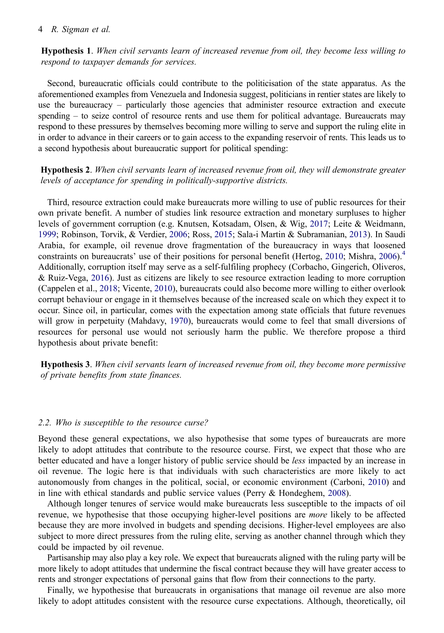#### 4 *R. Sigman et al.*

**Hypothesis 1**. *When civil servants learn of increased revenue from oil, they become less willing to respond to taxpayer demands for services.* 

Second, bureaucratic officials could contribute to the politicisation of the state apparatus. As the aforementioned examples from Venezuela and Indonesia suggest, politicians in rentier states are likely to use the bureaucracy – particularly those agencies that administer resource extraction and execute spending – to seize control of resource rents and use them for political advantage. Bureaucrats may respond to these pressures by themselves becoming more willing to serve and support the ruling elite in in order to advance in their careers or to gain access to the expanding reservoir of rents. This leads us to a second hypothesis about bureaucratic support for political spending:

**Hypothesis 2**. *When civil servants learn of increased revenue from oil, they will demonstrate greater levels of acceptance for spending in politically-supportive districts.* 

<span id="page-4-6"></span><span id="page-4-4"></span><span id="page-4-3"></span><span id="page-4-2"></span>Third, resource extraction could make bureaucrats more willing to use of public resources for their own private benefit. A number of studies link resource extraction and monetary surpluses to higher levels of government corruption (e.g. Knutsen, Kotsadam, Olsen, & Wig, [2017;](#page-16-17) Leite & Weidmann, [1999;](#page-16-18) Robinson, Torvik, & Verdier, [2006](#page-17-16); Ross, [2015](#page-17-17); Sala-i Martin & Subramanian, [2013](#page-17-18)). In Saudi Arabia, for example, oil revenue drove fragmentation of the bureaucracy in ways that loosened constraints on bureaucrats' use of their positions for personal benefit (Hertog, [2010](#page-16-19); Mishra, [2006](#page-16-20)).<sup>4</sup> Additionally, corruption itself may serve as a self-fulfiling prophecy (Corbacho, Gingerich, Oliveros, & Ruiz-Vega, [2016](#page-16-21)). Just as citizens are likely to see resource extraction leading to more corruption (Cappelen et al., [2018;](#page-16-1) Vicente, [2010\)](#page-17-19), bureaucrats could also become more willing to either overlook corrupt behaviour or engage in it themselves because of the increased scale on which they expect it to occur. Since oil, in particular, comes with the expectation among state officials that future revenues will grow in perpetuity (Mahdavy, [1970\)](#page-16-6), bureaucrats would come to feel that small diversions of resources for personal use would not seriously harm the public. We therefore propose a third hypothesis about private benefit:

<span id="page-4-7"></span>**Hypothesis 3**. *When civil servants learn of increased revenue from oil, they become more permissive of private benefits from state finances.* 

## <span id="page-4-0"></span>*2.2. Who is susceptible to the resource curse?*

Beyond these general expectations, we also hypothesise that some types of bureaucrats are more likely to adopt attitudes that contribute to the resource course. First, we expect that those who are better educated and have a longer history of public service should be *less* impacted by an increase in oil revenue. The logic here is that individuals with such characteristics are more likely to act autonomously from changes in the political, social, or economic environment (Carboni, [2010](#page-16-22)) and in line with ethical standards and public service values (Perry & Hondeghem, [2008\)](#page-17-20).

<span id="page-4-5"></span><span id="page-4-1"></span>Although longer tenures of service would make bureaucrats less susceptible to the impacts of oil revenue, we hypothesise that those occupying higher-level positions are *more* likely to be affected because they are more involved in budgets and spending decisions. Higher-level employees are also subject to more direct pressures from the ruling elite, serving as another channel through which they could be impacted by oil revenue.

Partisanship may also play a key role. We expect that bureaucrats aligned with the ruling party will be more likely to adopt attitudes that undermine the fiscal contract because they will have greater access to rents and stronger expectations of personal gains that flow from their connections to the party.

Finally, we hypothesise that bureaucrats in organisations that manage oil revenue are also more likely to adopt attitudes consistent with the resource curse expectations. Although, theoretically, oil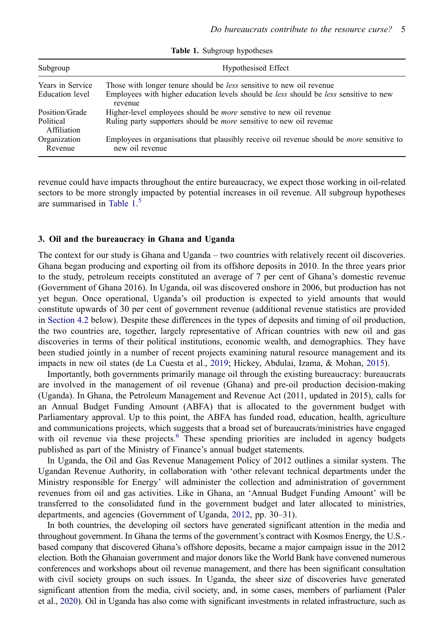<span id="page-5-0"></span>

| Subgroup                 | Hypothesised Effect                                                                                                 |  |  |  |  |
|--------------------------|---------------------------------------------------------------------------------------------------------------------|--|--|--|--|
| Years in Service         | Those with longer tenure should be <i>less</i> sensitive to new oil revenue                                         |  |  |  |  |
| Education level          | Employees with higher education levels should be less should be less sensitive to new<br>revenue                    |  |  |  |  |
| Position/Grade           | Higher-level employees should be <i>more</i> senstive to new oil revenue                                            |  |  |  |  |
| Political<br>Affiliation | Ruling party supporters should be <i>more</i> sensitive to new oil revenue                                          |  |  |  |  |
| Organization<br>Revenue  | Employees in organisations that plausibly receive oil revenue should be <i>more</i> sensitive to<br>new oil revenue |  |  |  |  |

**Table 1.** Subgroup hypotheses

revenue could have impacts throughout the entire bureaucracy, we expect those working in oil-related sectors to be more strongly impacted by potential increases in oil revenue. All subgroup hypotheses are summarised in [Table 1](#page-5-0). [5](#page-14-4)

## **3. Oil and the bureaucracy in Ghana and Uganda**

The context for our study is Ghana and Uganda – two countries with relatively recent oil discoveries. Ghana began producing and exporting oil from its offshore deposits in 2010. In the three years prior to the study, petroleum receipts constituted an average of 7 per cent of Ghana's domestic revenue (Government of Ghana 2016). In Uganda, oil was discovered onshore in 2006, but production has not yet begun. Once operational, Uganda's oil production is expected to yield amounts that would constitute upwards of 30 per cent of government revenue (additional revenue statistics are provided in [Section 4.2](#page-7-0) below). Despite these differences in the types of deposits and timing of oil production, the two countries are, together, largely representative of African countries with new oil and gas discoveries in terms of their political institutions, economic wealth, and demographics. They have been studied jointly in a number of recent projects examining natural resource management and its impacts in new oil states (de La Cuesta et al., [2019;](#page-16-2) Hickey, Abdulai, Izama, & Mohan, [2015](#page-16-23)).

<span id="page-5-2"></span>Importantly, both governments primarily manage oil through the existing bureaucracy: bureaucrats are involved in the management of oil revenue (Ghana) and pre-oil production decision-making (Uganda). In Ghana, the Petroleum Management and Revenue Act (2011, updated in 2015), calls for an Annual Budget Funding Amount (ABFA) that is allocated to the government budget with Parliamentary approval. Up to this point, the ABFA has funded road, education, health, agriculture and communications projects, which suggests that a broad set of bureaucrats/ministries have engaged with oil revenue via these projects. $6$  These spending priorities are included in agency budgets published as part of the Ministry of Finance's annual budget statements.

In Uganda, the Oil and Gas Revenue Management Policy of 2012 outlines a similar system. The Ugandan Revenue Authority, in collaboration with 'other relevant technical departments under the Ministry responsible for Energy' will administer the collection and administration of government revenues from oil and gas activities. Like in Ghana, an 'Annual Budget Funding Amount' will be transferred to the consolidated fund in the government budget and later allocated to ministries, departments, and agencies (Government of Uganda, [2012,](#page-16-24) pp. 30–31).

<span id="page-5-1"></span>In both countries, the developing oil sectors have generated significant attention in the media and throughout government. In Ghana the terms of the government's contract with Kosmos Energy, the U.S. based company that discovered Ghana's offshore deposits, became a major campaign issue in the 2012 election. Both the Ghanaian government and major donors like the World Bank have convened numerous conferences and workshops about oil revenue management, and there has been significant consultation with civil society groups on such issues. In Uganda, the sheer size of discoveries have generated significant attention from the media, civil society, and, in some cases, members of parliament (Paler et al., [2020](#page-17-1)). Oil in Uganda has also come with significant investments in related infrastructure, such as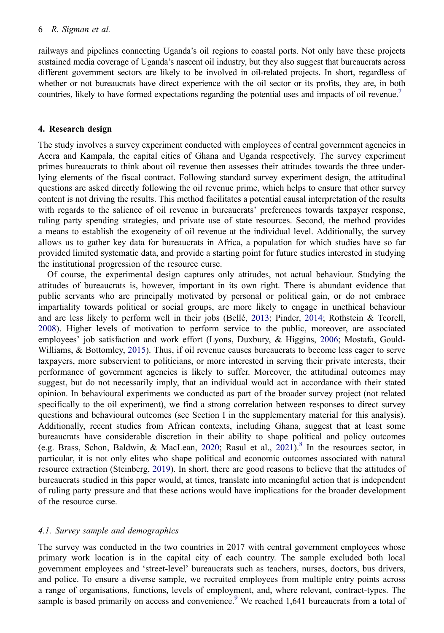railways and pipelines connecting Uganda's oil regions to coastal ports. Not only have these projects sustained media coverage of Uganda's nascent oil industry, but they also suggest that bureaucrats across different government sectors are likely to be involved in oil-related projects. In short, regardless of whether or not bureaucrats have direct experience with the oil sector or its profits, they are, in both countries, likely to have formed expectations regarding the potential uses and impacts of oil revenue.<sup>[7](#page-15-1)</sup>

### **4. Research design**

The study involves a survey experiment conducted with employees of central government agencies in Accra and Kampala, the capital cities of Ghana and Uganda respectively. The survey experiment primes bureaucrats to think about oil revenue then assesses their attitudes towards the three underlying elements of the fiscal contract. Following standard survey experiment design, the attitudinal questions are asked directly following the oil revenue prime, which helps to ensure that other survey content is not driving the results. This method facilitates a potential causal interpretation of the results with regards to the salience of oil revenue in bureaucrats' preferences towards taxpayer response, ruling party spending strategies, and private use of state resources. Second, the method provides a means to establish the exogeneity of oil revenue at the individual level. Additionally, the survey allows us to gather key data for bureaucrats in Africa, a population for which studies have so far provided limited systematic data, and provide a starting point for future studies interested in studying the institutional progression of the resource curse.

<span id="page-6-3"></span><span id="page-6-2"></span><span id="page-6-0"></span>Of course, the experimental design captures only attitudes, not actual behaviour. Studying the attitudes of bureaucrats is, however, important in its own right. There is abundant evidence that public servants who are principally motivated by personal or political gain, or do not embrace impartiality towards political or social groups, are more likely to engage in unethical behaviour and are less likely to perform well in their jobs (Bellé, [2013](#page-16-25); Pinder, [2014;](#page-17-21) Rothstein & Teorell, [2008\)](#page-17-22). Higher levels of motivation to perform service to the public, moreover, are associated employees' job satisfaction and work effort (Lyons, Duxbury, & Higgins, [2006;](#page-16-26) Mostafa, Gould-Williams, & Bottomley, [2015](#page-17-23)). Thus, if oil revenue causes bureaucrats to become less eager to serve taxpayers, more subservient to politicians, or more interested in serving their private interests, their performance of government agencies is likely to suffer. Moreover, the attitudinal outcomes may suggest, but do not necessarily imply, that an individual would act in accordance with their stated opinion. In behavioural experiments we conducted as part of the broader survey project (not related specifically to the oil experiment), we find a strong correlation between responses to direct survey questions and behavioural outcomes (see Section I in the supplementary material for this analysis). Additionally, recent studies from African contexts, including Ghana, suggest that at least some bureaucrats have considerable discretion in their ability to shape political and policy outcomes (e.g. Brass, Schon, Baldwin, & MacLean, [2020;](#page-16-27) Rasul et al., [2021\)](#page-17-24).<sup>[8](#page-15-2)</sup> In the resources sector, in particular, it is not only elites who shape political and economic outcomes associated with natural resource extraction (Steinberg, [2019\)](#page-17-25). In short, there are good reasons to believe that the attitudes of bureaucrats studied in this paper would, at times, translate into meaningful action that is independent of ruling party pressure and that these actions would have implications for the broader development of the resource curse.

# <span id="page-6-4"></span><span id="page-6-1"></span>*4.1. Survey sample and demographics*

The survey was conducted in the two countries in 2017 with central government employees whose primary work location is in the capital city of each country. The sample excluded both local government employees and 'street-level' bureaucrats such as teachers, nurses, doctors, bus drivers, and police. To ensure a diverse sample, we recruited employees from multiple entry points across a range of organisations, functions, levels of employment, and, where relevant, contract-types. The sample is based primarily on access and convenience.<sup>[9](#page-15-3)</sup> We reached 1,641 bureaucrats from a total of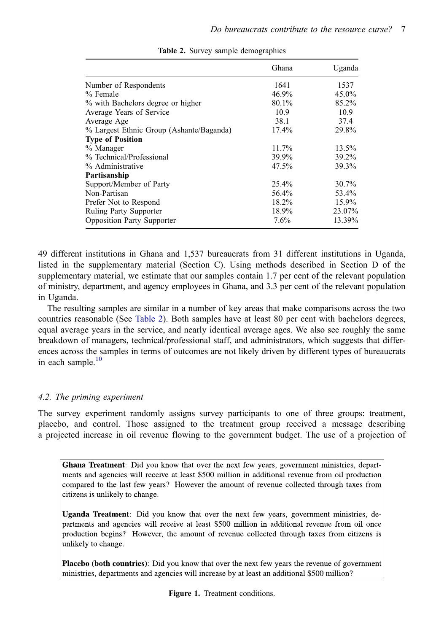<span id="page-7-1"></span>

|                                          | Ghana    | Uganda   |
|------------------------------------------|----------|----------|
| Number of Respondents                    | 1641     | 1537     |
| % Female                                 | 46.9%    | $45.0\%$ |
| % with Bachelors degree or higher        | $80.1\%$ | 85.2%    |
| Average Years of Service                 | 10.9     | 10.9     |
| Average Age                              | 38.1     | 37.4     |
| % Largest Ethnic Group (Ashante/Baganda) | 17.4%    | 29.8%    |
| <b>Type of Position</b>                  |          |          |
| $%$ Manager                              | 11.7%    | $13.5\%$ |
| % Technical/Professional                 | 39.9%    | 39.2%    |
| % Administrative                         | 47.5%    | 39.3%    |
| Partisanship                             |          |          |
| Support/Member of Party                  | $25.4\%$ | $30.7\%$ |
| Non-Partisan                             | 56.4%    | 53.4%    |
| Prefer Not to Respond                    | 18.2%    | $15.9\%$ |
| <b>Ruling Party Supporter</b>            | 18.9%    | 23.07%   |
| <b>Opposition Party Supporter</b>        | 7.6%     | 13.39%   |

**Table 2.** Survey sample demographics

49 different institutions in Ghana and 1,537 bureaucrats from 31 different institutions in Uganda, listed in the supplementary material (Section C). Using methods described in Section D of the supplementary material, we estimate that our samples contain 1.7 per cent of the relevant population of ministry, department, and agency employees in Ghana, and 3.3 per cent of the relevant population in Uganda.

The resulting samples are similar in a number of key areas that make comparisons across the two countries reasonable (See [Table 2](#page-7-1)). Both samples have at least 80 per cent with bachelors degrees, equal average years in the service, and nearly identical average ages. We also see roughly the same breakdown of managers, technical/professional staff, and administrators, which suggests that differences across the samples in terms of outcomes are not likely driven by different types of bureaucrats in each sample. $10$ 

# <span id="page-7-0"></span>*4.2. The priming experiment*

The survey experiment randomly assigns survey participants to one of three groups: treatment, placebo, and control. Those assigned to the treatment group received a message describing a projected increase in oil revenue flowing to the government budget. The use of a projection of

Ghana Treatment: Did you know that over the next few years, government ministries, departments and agencies will receive at least \$500 million in additional revenue from oil production compared to the last few years? However the amount of revenue collected through taxes from citizens is unlikely to change.

Uganda Treatment: Did you know that over the next few years, government ministries, departments and agencies will receive at least \$500 million in additional revenue from oil once production begins? However, the amount of revenue collected through taxes from citizens is unlikely to change.

<span id="page-7-2"></span>Placebo (both countries): Did you know that over the next few years the revenue of government ministries, departments and agencies will increase by at least an additional \$500 million?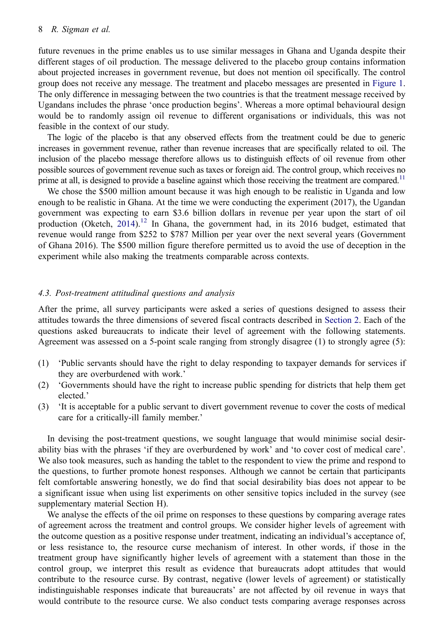future revenues in the prime enables us to use similar messages in Ghana and Uganda despite their different stages of oil production. The message delivered to the placebo group contains information about projected increases in government revenue, but does not mention oil specifically. The control group does not receive any message. The treatment and placebo messages are presented in [Figure 1](#page-7-2). The only difference in messaging between the two countries is that the treatment message received by Ugandans includes the phrase 'once production begins'. Whereas a more optimal behavioural design would be to randomly assign oil revenue to different organisations or individuals, this was not feasible in the context of our study.

The logic of the placebo is that any observed effects from the treatment could be due to generic increases in government revenue, rather than revenue increases that are specifically related to oil. The inclusion of the placebo message therefore allows us to distinguish effects of oil revenue from other possible sources of government revenue such as taxes or foreign aid. The control group, which receives no prime at all, is designed to provide a baseline against which those receiving the treatment are compared.<sup>[11](#page-15-5)</sup>

<span id="page-8-0"></span>We chose the \$500 million amount because it was high enough to be realistic in Uganda and low enough to be realistic in Ghana. At the time we were conducting the experiment (2017), the Ugandan government was expecting to earn \$3.6 billion dollars in revenue per year upon the start of oil production (Oketch, [2014](#page-17-26)).<sup>12</sup> In Ghana, the government had, in its 2016 budget, estimated that revenue would range from \$252 to \$787 Million per year over the next several years (Government of Ghana 2016). The \$500 million figure therefore permitted us to avoid the use of deception in the experiment while also making the treatments comparable across contexts.

# *4.3. Post-treatment attitudinal questions and analysis*

After the prime, all survey participants were asked a series of questions designed to assess their attitudes towards the three dimensions of severed fiscal contracts described in [Section 2.](#page-2-0) Each of the questions asked bureaucrats to indicate their level of agreement with the following statements. Agreement was assessed on a 5-point scale ranging from strongly disagree (1) to strongly agree (5):

- (1) 'Public servants should have the right to delay responding to taxpayer demands for services if they are overburdened with work.'
- (2) 'Governments should have the right to increase public spending for districts that help them get elected.'
- (3) 'It is acceptable for a public servant to divert government revenue to cover the costs of medical care for a critically-ill family member.'

In devising the post-treatment questions, we sought language that would minimise social desirability bias with the phrases 'if they are overburdened by work' and 'to cover cost of medical care'. We also took measures, such as handing the tablet to the respondent to view the prime and respond to the questions, to further promote honest responses. Although we cannot be certain that participants felt comfortable answering honestly, we do find that social desirability bias does not appear to be a significant issue when using list experiments on other sensitive topics included in the survey (see supplementary material Section H).

We analyse the effects of the oil prime on responses to these questions by comparing average rates of agreement across the treatment and control groups. We consider higher levels of agreement with the outcome question as a positive response under treatment, indicating an individual's acceptance of, or less resistance to, the resource curse mechanism of interest. In other words, if those in the treatment group have significantly higher levels of agreement with a statement than those in the control group, we interpret this result as evidence that bureaucrats adopt attitudes that would contribute to the resource curse. By contrast, negative (lower levels of agreement) or statistically indistinguishable responses indicate that bureaucrats' are not affected by oil revenue in ways that would contribute to the resource curse. We also conduct tests comparing average responses across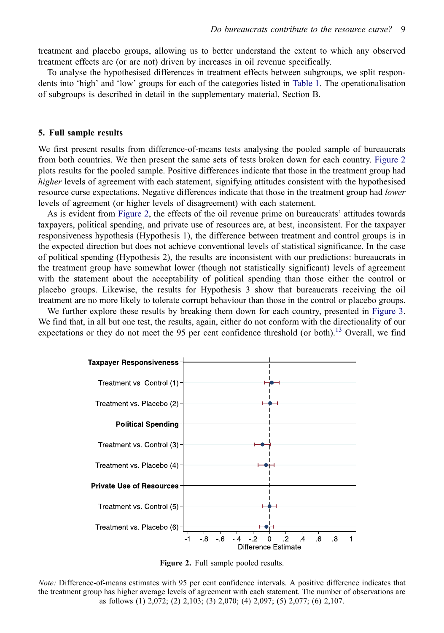treatment and placebo groups, allowing us to better understand the extent to which any observed treatment effects are (or are not) driven by increases in oil revenue specifically.

To analyse the hypothesised differences in treatment effects between subgroups, we split respondents into 'high' and 'low' groups for each of the categories listed in [Table 1](#page-5-0). The operationalisation of subgroups is described in detail in the supplementary material, Section B.

#### <span id="page-9-0"></span>**5. Full sample results**

We first present results from difference-of-means tests analysing the pooled sample of bureaucrats from both countries. We then present the same sets of tests broken down for each country. [Figure 2](#page-9-1)  plots results for the pooled sample. Positive differences indicate that those in the treatment group had *higher* levels of agreement with each statement, signifying attitudes consistent with the hypothesised resource curse expectations. Negative differences indicate that those in the treatment group had *lower*  levels of agreement (or higher levels of disagreement) with each statement.

As is evident from [Figure 2](#page-9-1), the effects of the oil revenue prime on bureaucrats' attitudes towards taxpayers, political spending, and private use of resources are, at best, inconsistent. For the taxpayer responsiveness hypothesis (Hypothesis 1), the difference between treatment and control groups is in the expected direction but does not achieve conventional levels of statistical significance. In the case of political spending (Hypothesis 2), the results are inconsistent with our predictions: bureaucrats in the treatment group have somewhat lower (though not statistically significant) levels of agreement with the statement about the acceptability of political spending than those either the control or placebo groups. Likewise, the results for Hypothesis 3 show that bureaucrats receiving the oil treatment are no more likely to tolerate corrupt behaviour than those in the control or placebo groups.

We further explore these results by breaking them down for each country, presented in [Figure 3](#page-10-0). We find that, in all but one test, the results, again, either do not conform with the directionality of our expectations or they do not meet the 95 per cent confidence threshold (or both).<sup>[13](#page-15-7)</sup> Overall, we find



**Figure 2.** Full sample pooled results.

<span id="page-9-1"></span>*Note:* Difference-of-means estimates with 95 per cent confidence intervals. A positive difference indicates that the treatment group has higher average levels of agreement with each statement. The number of observations are as follows (1) 2,072; (2) 2,103; (3) 2,070; (4) 2,097; (5) 2,077; (6) 2,107.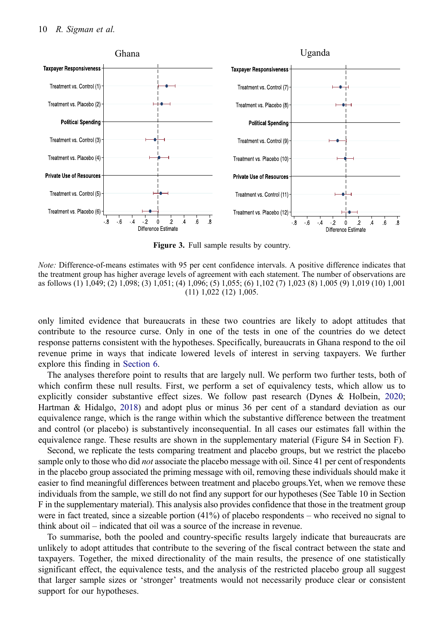

Figure 3. Full sample results by country.

<span id="page-10-0"></span>*Note:* Difference-of-means estimates with 95 per cent confidence intervals. A positive difference indicates that the treatment group has higher average levels of agreement with each statement. The number of observations are as follows (1) 1,049; (2) 1,098; (3) 1,051; (4) 1,096; (5) 1,055; (6) 1,102 (7) 1,023 (8) 1,005 (9) 1,019 (10) 1,001 (11) 1,022 (12) 1,005.

only limited evidence that bureaucrats in these two countries are likely to adopt attitudes that contribute to the resource curse. Only in one of the tests in one of the countries do we detect response patterns consistent with the hypotheses. Specifically, bureaucrats in Ghana respond to the oil revenue prime in ways that indicate lowered levels of interest in serving taxpayers. We further explore this finding in [Section 6](#page-11-0).

<span id="page-10-2"></span><span id="page-10-1"></span>The analyses therefore point to results that are largely null. We perform two further tests, both of which confirm these null results. First, we perform a set of equivalency tests, which allow us to explicitly consider substantive effect sizes. We follow past research (Dynes & Holbein, [2020;](#page-16-28) Hartman & Hidalgo, [2018](#page-16-29)) and adopt plus or minus 36 per cent of a standard deviation as our equivalence range, which is the range within which the substantive difference between the treatment and control (or placebo) is substantively inconsequential. In all cases our estimates fall within the equivalence range. These results are shown in the supplementary material (Figure S4 in Section F).

Second, we replicate the tests comparing treatment and placebo groups, but we restrict the placebo sample only to those who did *not* associate the placebo message with oil. Since 41 per cent of respondents in the placebo group associated the priming message with oil, removing these individuals should make it easier to find meaningful differences between treatment and placebo groups.Yet, when we remove these individuals from the sample, we still do not find any support for our hypotheses (See Table 10 in Section F in the supplementary material). This analysis also provides confidence that those in the treatment group were in fact treated, since a sizeable portion (41%) of placebo respondents – who received no signal to think about oil – indicated that oil was a source of the increase in revenue.

To summarise, both the pooled and country-specific results largely indicate that bureaucrats are unlikely to adopt attitudes that contribute to the severing of the fiscal contract between the state and taxpayers. Together, the mixed directionality of the main results, the presence of one statistically significant effect, the equivalence tests, and the analysis of the restricted placebo group all suggest that larger sample sizes or 'stronger' treatments would not necessarily produce clear or consistent support for our hypotheses.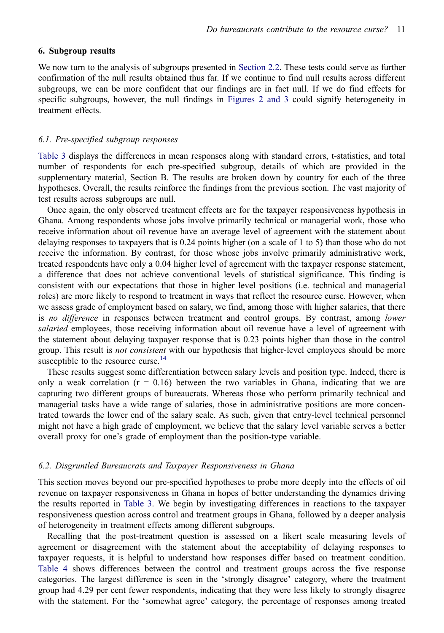#### <span id="page-11-0"></span>**6. Subgroup results**

We now turn to the analysis of subgroups presented in [Section 2.2.](#page-4-0) These tests could serve as further confirmation of the null results obtained thus far. If we continue to find null results across different subgroups, we can be more confident that our findings are in fact null. If we do find effects for specific subgroups, however, the null findings in [Figures 2 and](#page-9-1) [3](#page-10-0) could signify heterogeneity in treatment effects.

# *6.1. Pre-specified subgroup responses*

[Table 3](#page-12-0) displays the differences in mean responses along with standard errors, t-statistics, and total number of respondents for each pre-specified subgroup, details of which are provided in the supplementary material, Section B. The results are broken down by country for each of the three hypotheses. Overall, the results reinforce the findings from the previous section. The vast majority of test results across subgroups are null.

Once again, the only observed treatment effects are for the taxpayer responsiveness hypothesis in Ghana. Among respondents whose jobs involve primarily technical or managerial work, those who receive information about oil revenue have an average level of agreement with the statement about delaying responses to taxpayers that is 0.24 points higher (on a scale of 1 to 5) than those who do not receive the information. By contrast, for those whose jobs involve primarily administrative work, treated respondents have only a 0.04 higher level of agreement with the taxpayer response statement, a difference that does not achieve conventional levels of statistical significance. This finding is consistent with our expectations that those in higher level positions (i.e. technical and managerial roles) are more likely to respond to treatment in ways that reflect the resource curse. However, when we assess grade of employment based on salary, we find, among those with higher salaries, that there is *no difference* in responses between treatment and control groups. By contrast, among *lower salaried* employees, those receiving information about oil revenue have a level of agreement with the statement about delaying taxpayer response that is 0.23 points higher than those in the control group. This result is *not consistent* with our hypothesis that higher-level employees should be more susceptible to the resource curse.<sup>[14](#page-15-8)</sup>

These results suggest some differentiation between salary levels and position type. Indeed, there is only a weak correlation  $(r = 0.16)$  between the two variables in Ghana, indicating that we are capturing two different groups of bureaucrats. Whereas those who perform primarily technical and managerial tasks have a wide range of salaries, those in administrative positions are more concentrated towards the lower end of the salary scale. As such, given that entry-level technical personnel might not have a high grade of employment, we believe that the salary level variable serves a better overall proxy for one's grade of employment than the position-type variable.

## *6.2. Disgruntled Bureaucrats and Taxpayer Responsiveness in Ghana*

This section moves beyond our pre-specified hypotheses to probe more deeply into the effects of oil revenue on taxpayer responsiveness in Ghana in hopes of better understanding the dynamics driving the results reported in [Table 3.](#page-12-0) We begin by investigating differences in reactions to the taxpayer responsiveness question across control and treatment groups in Ghana, followed by a deeper analysis of heterogeneity in treatment effects among different subgroups.

Recalling that the post-treatment question is assessed on a likert scale measuring levels of agreement or disagreement with the statement about the acceptability of delaying responses to taxpayer requests, it is helpful to understand how responses differ based on treatment condition. [Table 4](#page-13-0) shows differences between the control and treatment groups across the five response categories. The largest difference is seen in the 'strongly disagree' category, where the treatment group had 4.29 per cent fewer respondents, indicating that they were less likely to strongly disagree with the statement. For the 'somewhat agree' category, the percentage of responses among treated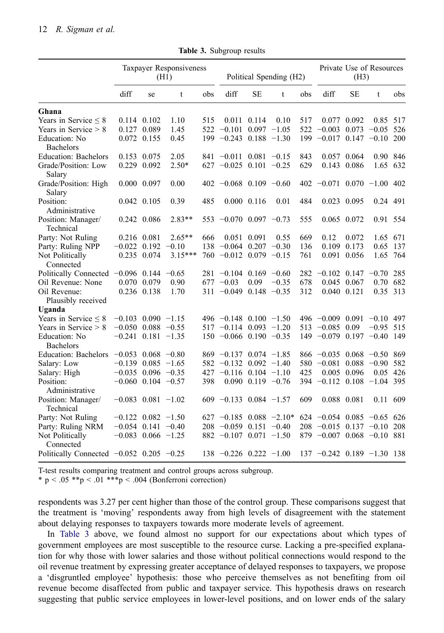<span id="page-12-0"></span>

|                                              | <b>Taxpayer Responsiveness</b><br>(H1) |             |           | Political Spending (H2) |                             |             |                         | Private Use of Resources<br>(H3) |                                |                 |          |          |
|----------------------------------------------|----------------------------------------|-------------|-----------|-------------------------|-----------------------------|-------------|-------------------------|----------------------------------|--------------------------------|-----------------|----------|----------|
|                                              | diff                                   | se          | t         | obs                     | diff                        | <b>SE</b>   | t                       | obs                              | diff                           | <b>SE</b>       | t        | obs      |
| Ghana                                        |                                        |             |           |                         |                             |             |                         |                                  |                                |                 |          |          |
| Years in Service $\leq 8$                    |                                        | 0.114 0.102 | 1.10      | 515                     |                             | 0.011 0.114 | 0.10                    | 517                              |                                | 0.077 0.092     | 0.85     | 517      |
| Years in Service $> 8$                       |                                        | 0.127 0.089 | 1.45      |                         | $522 -0.101$ 0.097 $-1.05$  |             |                         |                                  | $522 -0.003$ 0.073 $-0.05$     |                 |          | 526      |
| Education: No<br><b>Bachelors</b>            |                                        | 0.072 0.155 | 0.45      |                         | $199 - 0.243$ 0.188 $-1.30$ |             |                         |                                  | $199 - 0.017$ 0.147 $-0.10$    |                 |          | 200      |
| <b>Education: Bachelors</b>                  |                                        | 0.153 0.075 | 2.05      |                         | $841 -0.011$ 0.081 $-0.15$  |             |                         | 843                              |                                | 0.057 0.064     | 0.90     | 846      |
| Grade/Position: Low<br>Salary                |                                        | 0.229 0.092 | $2.50*$   |                         | $627 -0.025$ 0.101 $-0.25$  |             |                         | 629                              |                                | 0.143 0.086     | 1.65     | 632      |
| Grade/Position: High<br>Salary               |                                        | 0.000 0.097 | 0.00      |                         | $402 -0.068$ 0.109 $-0.60$  |             |                         |                                  | $402 -0.071$ 0.070 $-1.00$     |                 |          | 402      |
| Position:<br>Administrative                  |                                        | 0.042 0.105 | 0.39      | 485                     |                             | 0.000 0.116 | 0.01                    | 484                              |                                | 0.023 0.095     | 0.24 491 |          |
| Position: Manager/<br>Technical              |                                        | 0.242 0.086 | $2.83**$  |                         | $553 -0.070$ 0.097 $-0.73$  |             |                         | 555                              |                                | 0.065 0.072     | 0.91 554 |          |
| Party: Not Ruling                            | 0.216 0.081                            |             | $2.65**$  | 666                     |                             | 0.051 0.091 | 0.55                    | 669                              | 0.12                           | 0.072           | 1.65     | 671      |
| Party: Ruling NPP                            | $-0.022$ 0.192                         |             | $-0.10$   |                         | $138 -0.064$ 0.207 $-0.30$  |             |                         | 136                              |                                | 0.109 0.173     | 0.65     | 137      |
| Not Politically<br>Connected                 |                                        | 0.235 0.074 | $3.15***$ |                         | $760 -0.012$ 0.079 $-0.15$  |             |                         | 761                              |                                | 0.091 0.056     | 1.65     | 764      |
| Politically Connected $-0.096$ 0.144 $-0.65$ |                                        |             |           |                         | $281 -0.104$ 0.169 $-0.60$  |             |                         |                                  | $282 -0.102$ 0.147 $-0.70$     |                 |          | 285      |
| Oil Revenue: None                            |                                        | 0.070 0.079 | 0.90      |                         | $677 -0.03$                 | 0.09        | $-0.35$                 | 678                              |                                | 0.045 0.067     | 0.70     | 682      |
| Oil Revenue:<br>Plausibly received           |                                        | 0.236 0.138 | 1.70      |                         | $311 -0.049$ 0.148 $-0.35$  |             |                         | 312                              |                                | $0.040$ $0.121$ |          | 0.35 313 |
| Uganda                                       |                                        |             |           |                         |                             |             |                         |                                  |                                |                 |          |          |
| Years in Service $\leq 8$                    | $-0.103$ 0.090 $-1.15$                 |             |           |                         | 496 $-0.148$ 0.100 $-1.50$  |             |                         |                                  | $496 -0.009$ 0.091 $-0.10$ 497 |                 |          |          |
| Years in Service $> 8$                       | $-0.050$ 0.088 $-0.55$                 |             |           |                         | $517 -0.114$ 0.093 -1.20    |             |                         |                                  | $513 -0.085 0.09$              |                 | $-0.95$  | 515      |
| Education: No<br><b>Bachelors</b>            | $-0.241$ 0.181 $-1.35$                 |             |           |                         | $150 -0.066$ 0.190 $-0.35$  |             |                         |                                  | $149 -0.079$ 0.197 $-0.40$     |                 |          | 149      |
| Education: Bachelors $-0.053$ 0.068 $-0.80$  |                                        |             |           |                         | $869 -0.137 0.074 -1.85$    |             |                         |                                  | $866 - 0.035$ 0.068 $-0.50$    |                 |          | 869      |
| Salary: Low                                  | $-0.139$ 0.085 $-1.65$                 |             |           |                         | $582 -0.132$ 0.092 $-1.40$  |             |                         |                                  | $580 -0.081$ 0.088 $-0.90$     |                 |          | 582      |
| Salary: High                                 | $-0.035$ 0.096 $-0.35$                 |             |           |                         | $427 -0.116$ 0.104 $-1.10$  |             |                         | 425                              |                                | 0.005 0.096     | 0.05     | 426      |
| Position:<br>Administrative                  | $-0.060$ 0.104 $-0.57$                 |             |           | 398                     |                             |             | $0.090$ $0.119$ $-0.76$ |                                  | $394 -0.112$ 0.108 $-1.04$     |                 |          | 395      |
| Position: Manager/<br>Technical              | $-0.083$ 0.081 $-1.02$                 |             |           |                         | $609 -0.133$ 0.084 $-1.57$  |             |                         | 609                              |                                | 0.088 0.081     | 0.11     | 609      |
| Party: Not Ruling                            | $-0.122$ 0.082 $-1.50$                 |             |           |                         | $627 -0.185$ 0.088 $-2.10*$ |             |                         |                                  | $624 -0.054$ 0.085 $-0.65$     |                 |          | 626      |
| Party: Ruling NRM                            | $-0.054$ 0.141 $-0.40$                 |             |           |                         | $208 -0.059$ 0.151 $-0.40$  |             |                         |                                  | $208 -0.015$ 0.137 $-0.10$     |                 |          | 208      |
| Not Politically<br>Connected                 | $-0.083$ 0.066 $-1.25$                 |             |           |                         | $882 -0.107$ 0.071 $-1.50$  |             |                         |                                  | $879 -0.007$ 0.068 $-0.10$ 881 |                 |          |          |
| Politically Connected $-0.052$ 0.205 $-0.25$ |                                        |             |           |                         | $138 -0.226$ 0.222 $-1.00$  |             |                         |                                  | $137 -0.242$ 0.189 $-1.30$ 138 |                 |          |          |

**Table 3.** Subgroup results

T-test results comparing treatment and control groups across subgroup.

\* p < .05 \*\*p < .01 \*\*\*p < .004 (Bonferroni correction)

respondents was 3.27 per cent higher than those of the control group. These comparisons suggest that the treatment is 'moving' respondents away from high levels of disagreement with the statement about delaying responses to taxpayers towards more moderate levels of agreement.

In [Table 3](#page-12-0) above, we found almost no support for our expectations about which types of government employees are most susceptible to the resource curse. Lacking a pre-specified explanation for why those with lower salaries and those without political connections would respond to the oil revenue treatment by expressing greater acceptance of delayed responses to taxpayers, we propose a 'disgruntled employee' hypothesis: those who perceive themselves as not benefiting from oil revenue become disaffected from public and taxpayer service. This hypothesis draws on research suggesting that public service employees in lower-level positions, and on lower ends of the salary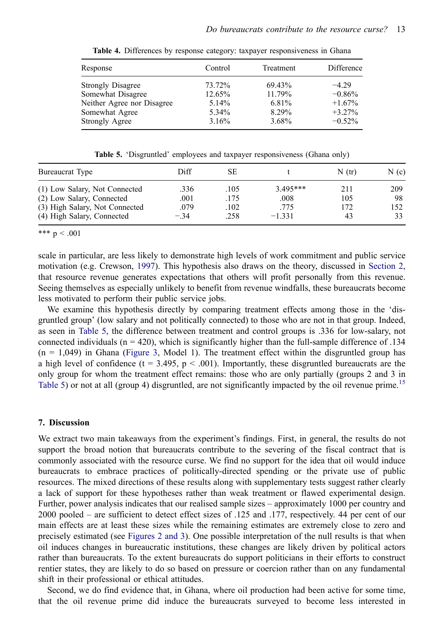| Response                   | Control  | Treatment | Difference |
|----------------------------|----------|-----------|------------|
| <b>Strongly Disagree</b>   | 73.72%   | 69.43%    | $-429$     |
| Somewhat Disagree          | 12.65%   | $11.79\%$ | $-0.86%$   |
| Neither Agree nor Disagree | $5.14\%$ | 6.81%     | $+1.67\%$  |
| Somewhat Agree             | 5.34%    | 8.29%     | $+3.27%$   |
| <b>Strongly Agree</b>      | 3.16%    | 3.68%     | $-0.52%$   |

<span id="page-13-0"></span>**Table 4.** Differences by response category: taxpayer responsiveness in Ghana

**Table 5.** 'Disgruntled' employees and taxpayer responsiveness (Ghana only)

<span id="page-13-1"></span>

| Bureaucrat Type                | Diff   | SE   |            | N(r) | N(c) |
|--------------------------------|--------|------|------------|------|------|
| (1) Low Salary, Not Connected  | .336   | .105 | $3.495***$ | 211  | 209  |
| (2) Low Salary, Connected      | .001   | .175 | .008       | 105  | 98   |
| (3) High Salary, Not Connected | .079   | 102  | .775       | 172  | 152  |
| (4) High Salary, Connected     | $-.34$ | .258 | $-1, 331$  | 43   | 33   |

\*\*\*  $p < .001$ 

<span id="page-13-3"></span>scale in particular, are less likely to demonstrate high levels of work commitment and public service motivation (e.g. Crewson, [1997](#page-16-30)). This hypothesis also draws on the theory, discussed in [Section 2](#page-2-0), that resource revenue generates expectations that others will profit personally from this revenue. Seeing themselves as especially unlikely to benefit from revenue windfalls, these bureaucrats become less motivated to perform their public service jobs.

We examine this hypothesis directly by comparing treatment effects among those in the 'disgruntled group' (low salary and not politically connected) to those who are not in that group. Indeed, as seen in [Table 5](#page-13-1), the difference between treatment and control groups is .336 for low-salary, not connected individuals  $(n = 420)$ , which is significantly higher than the full-sample difference of .134  $(n = 1,049)$  in Ghana ([Figure 3](#page-10-0), Model 1). The treatment effect within the disgruntled group has a high level of confidence (t = 3.495,  $p < .001$ ). Importantly, these disgruntled bureaucrats are the only group for whom the treatment effect remains: those who are only partially (groups 2 and 3 in [Table 5](#page-13-1)) or not at all (group 4) disgruntled, are not significantly impacted by the oil revenue prime.<sup>[15](#page-15-9)</sup>

## <span id="page-13-2"></span>**7. Discussion**

We extract two main takeaways from the experiment's findings. First, in general, the results do not support the broad notion that bureaucrats contribute to the severing of the fiscal contract that is commonly associated with the resource curse. We find no support for the idea that oil would induce bureaucrats to embrace practices of politically-directed spending or the private use of public resources. The mixed directions of these results along with supplementary tests suggest rather clearly a lack of support for these hypotheses rather than weak treatment or flawed experimental design. Further, power analysis indicates that our realised sample sizes – approximately 1000 per country and 2000 pooled – are sufficient to detect effect sizes of .125 and .177, respectively. 44 per cent of our main effects are at least these sizes while the remaining estimates are extremely close to zero and precisely estimated (see [Figures 2 and](#page-9-1) [3\)](#page-10-0). One possible interpretation of the null results is that when oil induces changes in bureaucratic institutions, these changes are likely driven by political actors rather than bureaucrats. To the extent bureaucrats do support politicians in their efforts to construct rentier states, they are likely to do so based on pressure or coercion rather than on any fundamental shift in their professional or ethical attitudes.

Second, we do find evidence that, in Ghana, where oil production had been active for some time, that the oil revenue prime did induce the bureaucrats surveyed to become less interested in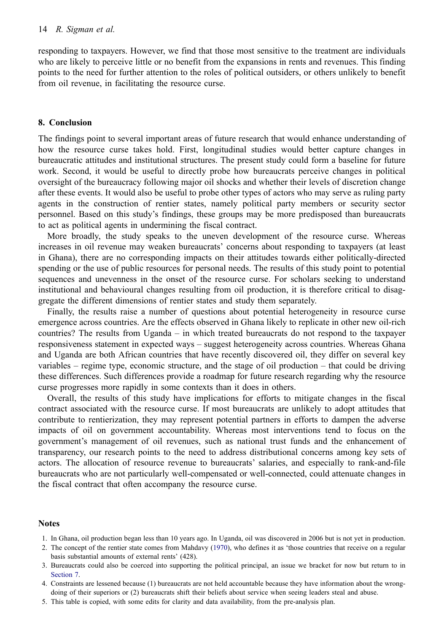responding to taxpayers. However, we find that those most sensitive to the treatment are individuals who are likely to perceive little or no benefit from the expansions in rents and revenues. This finding points to the need for further attention to the roles of political outsiders, or others unlikely to benefit from oil revenue, in facilitating the resource curse.

## **8. Conclusion**

The findings point to several important areas of future research that would enhance understanding of how the resource curse takes hold. First, longitudinal studies would better capture changes in bureaucratic attitudes and institutional structures. The present study could form a baseline for future work. Second, it would be useful to directly probe how bureaucrats perceive changes in political oversight of the bureaucracy following major oil shocks and whether their levels of discretion change after these events. It would also be useful to probe other types of actors who may serve as ruling party agents in the construction of rentier states, namely political party members or security sector personnel. Based on this study's findings, these groups may be more predisposed than bureaucrats to act as political agents in undermining the fiscal contract.

More broadly, the study speaks to the uneven development of the resource curse. Whereas increases in oil revenue may weaken bureaucrats' concerns about responding to taxpayers (at least in Ghana), there are no corresponding impacts on their attitudes towards either politically-directed spending or the use of public resources for personal needs. The results of this study point to potential sequences and unevenness in the onset of the resource curse. For scholars seeking to understand institutional and behavioural changes resulting from oil production, it is therefore critical to disaggregate the different dimensions of rentier states and study them separately.

Finally, the results raise a number of questions about potential heterogeneity in resource curse emergence across countries. Are the effects observed in Ghana likely to replicate in other new oil-rich countries? The results from Uganda – in which treated bureaucrats do not respond to the taxpayer responsiveness statement in expected ways – suggest heterogeneity across countries. Whereas Ghana and Uganda are both African countries that have recently discovered oil, they differ on several key variables – regime type, economic structure, and the stage of oil production – that could be driving these differences. Such differences provide a roadmap for future research regarding why the resource curse progresses more rapidly in some contexts than it does in others.

Overall, the results of this study have implications for efforts to mitigate changes in the fiscal contract associated with the resource curse. If most bureaucrats are unlikely to adopt attitudes that contribute to rentierization, they may represent potential partners in efforts to dampen the adverse impacts of oil on government accountability. Whereas most interventions tend to focus on the government's management of oil revenues, such as national trust funds and the enhancement of transparency, our research points to the need to address distributional concerns among key sets of actors. The allocation of resource revenue to bureaucrats' salaries, and especially to rank-and-file bureaucrats who are not particularly well-compensated or well-connected, could attenuate changes in the fiscal contract that often accompany the resource curse.

## **Notes**

- <span id="page-14-0"></span>1. In Ghana, oil production began less than 10 years ago. In Uganda, oil was discovered in 2006 but is not yet in production.
- <span id="page-14-1"></span>2. The concept of the rentier state comes from Mahdavy ([1970\)](#page-16-6), who defines it as 'those countries that receive on a regular basis substantial amounts of external rents' (428).
- <span id="page-14-2"></span>3. Bureaucrats could also be coerced into supporting the political principal, an issue we bracket for now but return to in [Section 7](#page-13-2).
- <span id="page-14-3"></span>4. Constraints are lessened because (1) bureaucrats are not held accountable because they have information about the wrongdoing of their superiors or (2) bureaucrats shift their beliefs about service when seeing leaders steal and abuse.
- <span id="page-14-4"></span>5. This table is copied, with some edits for clarity and data availability, from the pre-analysis plan.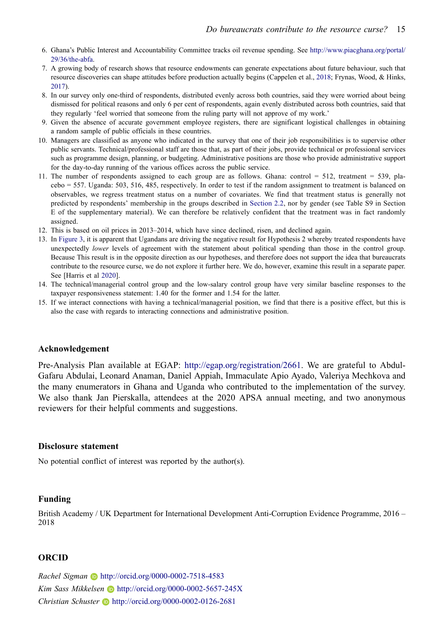- <span id="page-15-0"></span>6. Ghana's Public Interest and Accountability Committee tracks oil revenue spending. See [http://www.piacghana.org/portal/](http://www.piacghana.org/portal/29/36/the-abfa)  [29/36/the-abfa](http://www.piacghana.org/portal/29/36/the-abfa).
- <span id="page-15-10"></span><span id="page-15-1"></span>7. A growing body of research shows that resource endowments can generate expectations about future behaviour, such that resource discoveries can shape attitudes before production actually begins (Cappelen et al., [2018;](#page-16-1) Frynas, Wood, & Hinks, [2017\)](#page-16-31).
- <span id="page-15-2"></span>8. In our survey only one-third of respondents, distributed evenly across both countries, said they were worried about being dismissed for political reasons and only 6 per cent of respondents, again evenly distributed across both countries, said that they regularly 'feel worried that someone from the ruling party will not approve of my work.'
- <span id="page-15-3"></span>9. Given the absence of accurate government employee registers, there are significant logistical challenges in obtaining a random sample of public officials in these countries.
- <span id="page-15-4"></span>10. Managers are classified as anyone who indicated in the survey that one of their job responsibilities is to supervise other public servants. Technical/professional staff are those that, as part of their jobs, provide technical or professional services such as programme design, planning, or budgeting. Administrative positions are those who provide administrative support for the day-to-day running of the various offices across the public service.
- <span id="page-15-5"></span>11. The number of respondents assigned to each group are as follows. Ghana: control = 512, treatment = 539, placebo = 557. Uganda: 503, 516, 485, respectively. In order to test if the random assignment to treatment is balanced on observables, we regress treatment status on a number of covariates. We find that treatment status is generally not predicted by respondents' membership in the groups described in [Section 2.2](#page-4-0), nor by gender (see Table S9 in Section E of the supplementary material). We can therefore be relatively confident that the treatment was in fact randomly assigned.
- <span id="page-15-6"></span>12. This is based on oil prices in 2013–2014, which have since declined, risen, and declined again.
- <span id="page-15-7"></span>13. In [Figure 3](#page-10-0), it is apparent that Ugandans are driving the negative result for Hypothesis 2 whereby treated respondents have unexpectedly *lower* levels of agreement with the statement about political spending than those in the control group. Because This result is in the opposite direction as our hypotheses, and therefore does not support the idea that bureaucrats contribute to the resource curse, we do not explore it further here. We do, however, examine this result in a separate paper. See [Harris et al [2020\]](#page-16-3).
- <span id="page-15-8"></span>14. The technical/managerial control group and the low-salary control group have very similar baseline responses to the taxpayer responsiveness statement: 1.40 for the former and 1.54 for the latter.
- <span id="page-15-9"></span>15. If we interact connections with having a technical/managerial position, we find that there is a positive effect, but this is also the case with regards to interacting connections and administrative position.

## **Acknowledgement**

Pre-Analysis Plan available at EGAP: [http://egap.org/registration/2661.](http://egap.org/registration/2661) We are grateful to Abdul-Gafaru Abdulai, Leonard Anaman, Daniel Appiah, Immaculate Apio Ayado, Valeriya Mechkova and the many enumerators in Ghana and Uganda who contributed to the implementation of the survey. We also thank Jan Pierskalla, attendees at the 2020 APSA annual meeting, and two anonymous reviewers for their helpful comments and suggestions.

## **Disclosure statement**

No potential conflict of interest was reported by the author(s).

#### **Funding**

British Academy / UK Department for International Development Anti-Corruption Evidence Programme, 2016 – 2018

## **ORCID**

*Rachel Sigman* http://orcid.org/0000-0002-7518-4583 *Kim Sass Mikkelsen* http://orcid.org/0000-0002-5657-245X *Christian Schuster* http://orcid.org/0000-0002-0126-2681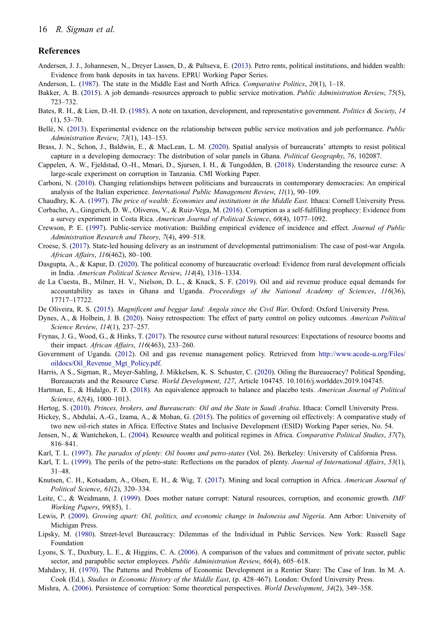#### **References**

- <span id="page-16-7"></span>Andersen, J. J., Johannesen, N., Dreyer Lassen, D., & Paltseva, E. [\(2013](#page-3-0)). Petro rents, political institutions, and hidden wealth: Evidence from bank deposits in tax havens. EPRU Working Paper Series.
- <span id="page-16-5"></span>Anderson, L. [\(1987](#page-3-1)). The state in the Middle East and North Africa. *Comparative Politics*, *20*(1), 1–18.
- <span id="page-16-15"></span>Bakker, A. B. ([2015\)](#page-3-2). A job demands–resources approach to public service motivation. *Public Administration Review*, *75*(5), 723–732.
- <span id="page-16-4"></span>Bates, R. H., & Lien, D.-H. D. ([1985\)](#page-2-1). A note on taxation, development, and representative government. *Politics & Society*, *14*   $(1), 53-70.$
- <span id="page-16-25"></span>Bellé, N. [\(2013](#page-6-0)). Experimental evidence on the relationship between public service motivation and job performance. *Public Administration Review*, *73*(1), 143–153.
- <span id="page-16-27"></span>Brass, J. N., Schon, J., Baldwin, E., & MacLean, L. M. ([2020\)](#page-6-1). Spatial analysis of bureaucrats' attempts to resist political capture in a developing democracy: The distribution of solar panels in Ghana. *Political Geography*, *76*, 102087.
- <span id="page-16-1"></span>Cappelen, A. W., Fjeldstad, O.-H., Mmari, D., Sjursen, I. H., & Tungodden, B. ([2018\)](#page-2-2). Understanding the resource curse: A large-scale experiment on corruption in Tanzania. CMI Working Paper.
- <span id="page-16-22"></span>Carboni, N. [\(2010](#page-4-1)). Changing relationships between politicians and bureaucrats in contemporary democracies: An empirical analysis of the Italian experience. *International Public Management Review*, *11*(1), 90–109.
- <span id="page-16-9"></span>Chaudhry, K. A. ([1997\)](#page-3-3). *The price of wealth: Economies and institutions in the Middle East*. Ithaca: Cornell University Press.
- <span id="page-16-21"></span>Corbacho, A., Gingerich, D. W., Oliveros, V., & Ruiz-Vega, M. ([2016\)](#page-4-2). Corruption as a self-fulfilling prophecy: Evidence from a survey experiment in Costa Rica. *American Journal of Political Science*, *60*(4), 1077–1092.
- <span id="page-16-30"></span>Crewson, P. E. [\(1997](#page-13-3)). Public-service motivation: Building empirical evidence of incidence and effect. *Journal of Public Administration Research and Theory*, *7*(4), 499–518.
- <span id="page-16-12"></span>Croese, S. [\(2017](#page-3-4)). State-led housing delivery as an instrument of developmental patrimonialism: The case of post-war Angola. *African Affairs*, *116*(462), 80–100.
- <span id="page-16-16"></span>Dasgupta, A., & Kapur, D. ([2020\)](#page-3-2). The political economy of bureaucratic overload: Evidence from rural development officials in India. *American Political Science Review*, *114*(4), 1316–1334.
- <span id="page-16-2"></span>de La Cuesta, B., Milner, H. V., Nielson, D. L., & Knack, S. F. ([2019](#page-2-2)). Oil and aid revenue produce equal demands for accountability as taxes in Ghana and Uganda. *Proceedings of the National Academy of Sciences*, *116*(36), 17717–17722.
- <span id="page-16-13"></span>De Oliveira, R. S. [\(2015](#page-3-5)). *Magnificent and beggar land: Angola since the Civil War*. Oxford: Oxford University Press.
- <span id="page-16-28"></span>Dynes, A., & Holbein, J. B. ([2020\)](#page-10-1). Noisy retrospection: The effect of party control on policy outcomes. *American Political Science Review*, *114*(1), 237–257.
- <span id="page-16-31"></span>Frynas, J. G., Wood, G., & Hinks, T. [\(2017](#page-15-10)). The resource curse without natural resources: Expectations of resource booms and their impact. *African Affairs*, *116*(463), 233–260.
- <span id="page-16-24"></span>Government of Uganda. ([2012\)](#page-5-1). Oil and gas revenue management policy. Retrieved from [http://www.acode-u.org/Files/](http://www.acode-u.org/Files/oildocs/Oil_Revenue_Mgt_Policy.pdf)  [oildocs/Oil\\_Revenue\\_Mgt\\_Policy.pdf.](http://www.acode-u.org/Files/oildocs/Oil_Revenue_Mgt_Policy.pdf)
- <span id="page-16-3"></span>Harris, A S., Sigman, R., Meyer-Sahling, J. Mikkelsen, K. S. Schuster, C. ([2020\)](#page-2-2). Oiling the Bureaucracy? Political Spending, Bureaucrats and the Resource Curse. *World Development*, *127*, Article 104745. 10.1016/j.worlddev.2019.104745.
- <span id="page-16-29"></span>Hartman, E., & Hidalgo, F. D. ([2018\)](#page-10-2). An equivalence approach to balance and placebo tests. *American Journal of Political Science*, *62*(4), 1000–1013.
- <span id="page-16-19"></span>Hertog, S. [\(2010](#page-4-3)). *Princes, brokers, and Bureaucrats: Oil and the State in Saudi Arabia*. Ithaca: Cornell University Press.
- <span id="page-16-23"></span>Hickey, S., Abdulai, A.-G., Izama, A., & Mohan, G. [\(2015](#page-5-2)). The politics of governing oil effectively: A comparative study of two new oil-rich states in Africa. Effective States and Inclusive Development (ESID) Working Paper series, No. 54.
- <span id="page-16-8"></span>Jensen, N., & Wantchekon, L. ([2004\)](#page-3-0). Resource wealth and political regimes in Africa. *Comparative Political Studies*, *37*(7), 816–841.
- <span id="page-16-10"></span>Karl, T. L. [\(1997\)](#page-3-6). *The paradox of plenty: Oil booms and petro-states* (Vol. 26). Berkeley: University of California Press.
- <span id="page-16-0"></span>Karl, T. L. [\(1999](#page-1-2)). The perils of the petro-state: Reflections on the paradox of plenty. *Journal of International Affairs*, *53*(1), 31–48.
- <span id="page-16-17"></span>Knutsen, C. H., Kotsadam, A., Olsen, E. H., & Wig, T. ([2017\)](#page-4-4). Mining and local corruption in Africa. *American Journal of Political Science*, *61*(2), 320–334.
- <span id="page-16-18"></span>Leite, C., & Weidmann, J. ([1999\)](#page-4-4). Does mother nature corrupt: Natural resources, corruption, and economic growth. *IMF Working Papers*, *99*(85), 1.
- <span id="page-16-11"></span>Lewis, P. ([2009\)](#page-3-7). *Growing apart: Oil, politics, and economic change in Indonesia and Nigeria*. Ann Arbor: University of Michigan Press.
- <span id="page-16-14"></span>Lipsky, M. [\(1980](#page-3-8)). Street-level Bureaucracy: Dilemmas of the Individual in Public Services. New York: Russell Sage Foundation
- <span id="page-16-26"></span>Lyons, S. T., Duxbury, L. E., & Higgins, C. A. ([2006\)](#page-6-2). A comparison of the values and commitment of private sector, public sector, and parapublic sector employees. *Public Administration Review*, *66*(4), 605–618.
- <span id="page-16-6"></span>Mahdavy, H. [\(1970](#page-3-9)). The Patterns and Problems of Economic Development in a Rentier Stare: The Case of Iran. In M. A. Cook (Ed.), *Studies in Economic History of the Middle East*, (p. 428–467). London: Oxford University Press.
- <span id="page-16-20"></span>Mishra, A. ([2006\)](#page-4-3). Persistence of corruption: Some theoretical perspectives. *World Development*, *34*(2), 349–358.